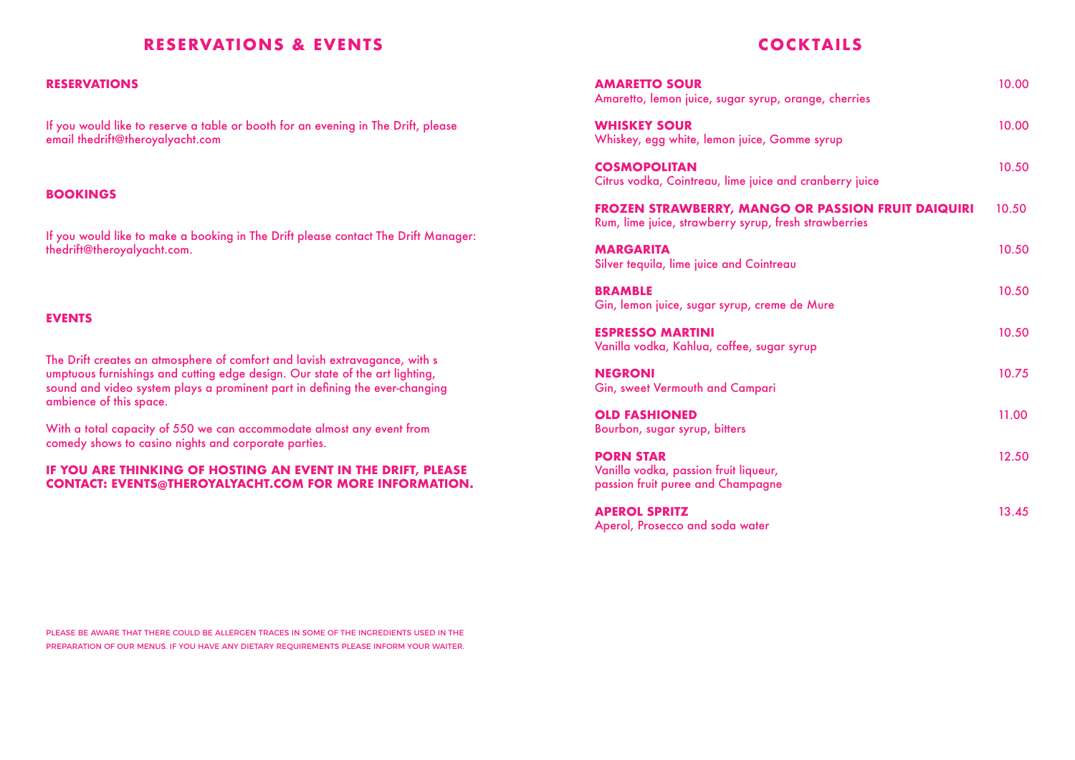#### **RESERVATIONS & EVENTS**

#### **RESERVATIONS**

If you would like to reserve a table or booth for an evening in The Drift, please email thedrift@theroyalyacht.com

#### **BOOKINGS**

If you would like to make a booking in The Drift please contact The Drift Manager: thedrift@theroyalyacht.com.

#### **EVENTS**

The Drift creates an atmosphere of comfort and lavish extravagance, with s umptuous furnishings and cutting edge design. Our state of the art lighting, sound and video system plays a prominent part in defining the ever-changing ambience of this space.

With a total capacity of 550 we can accommodate almost any event from comedy shows to casino nights and corporate parties.

#### **IF YOU ARE THINKING OF HOSTING AN EVENT IN THE DRIFT, PLEASE CONTACT: EVENTS@THEROYALYACHT.COM FOR MORE INFORMATION.**

#### **COCKTAILS**

| <b>AMARETTO SOUR</b><br>Amaretto, lemon juice, sugar syrup, orange, cherries                                | 10.00 |
|-------------------------------------------------------------------------------------------------------------|-------|
| <b>WHISKEY SOUR</b><br>Whiskey, egg white, lemon juice, Gomme syrup                                         | 10.00 |
| <b>COSMOPOLITAN</b><br>Citrus vodka, Cointreau, lime juice and cranberry juice                              | 10.50 |
| FROZEN STRAWBERRY, MANGO OR PASSION FRUIT DAIQUIRI<br>Rum, lime juice, strawberry syrup, fresh strawberries | 10.50 |
| <b>MARGARITA</b><br>Silver tequila, lime juice and Cointreau                                                | 10.50 |
| <b>BRAMBLE</b><br>Gin, lemon juice, sugar syrup, creme de Mure                                              | 10.50 |
| <b>ESPRESSO MARTINI</b><br>Vanilla vodka, Kahlua, coffee, sugar syrup                                       | 10.50 |
| <b>NEGRONI</b><br>Gin, sweet Vermouth and Campari                                                           | 10.75 |
| <b>OLD FASHIONED</b><br>Bourbon, sugar syrup, bitters                                                       | 11.00 |
| <b>PORN STAR</b><br>Vanilla vodka, passion fruit liqueur,<br>passion fruit puree and Champagne              | 12.50 |
| <b>APEROL SPRITZ</b><br>Aperol, Prosecco and soda water                                                     | 13.45 |

PLEASE BE AWARE THAT THERE COULD BE ALLERGEN TRACES IN SOME OF THE INGREDIENTS USED IN THE PREPARATION OF OUR MENUS. IF YOU HAVE ANY DIETARY REQUIREMENTS PLEASE INFORM YOUR WAITER.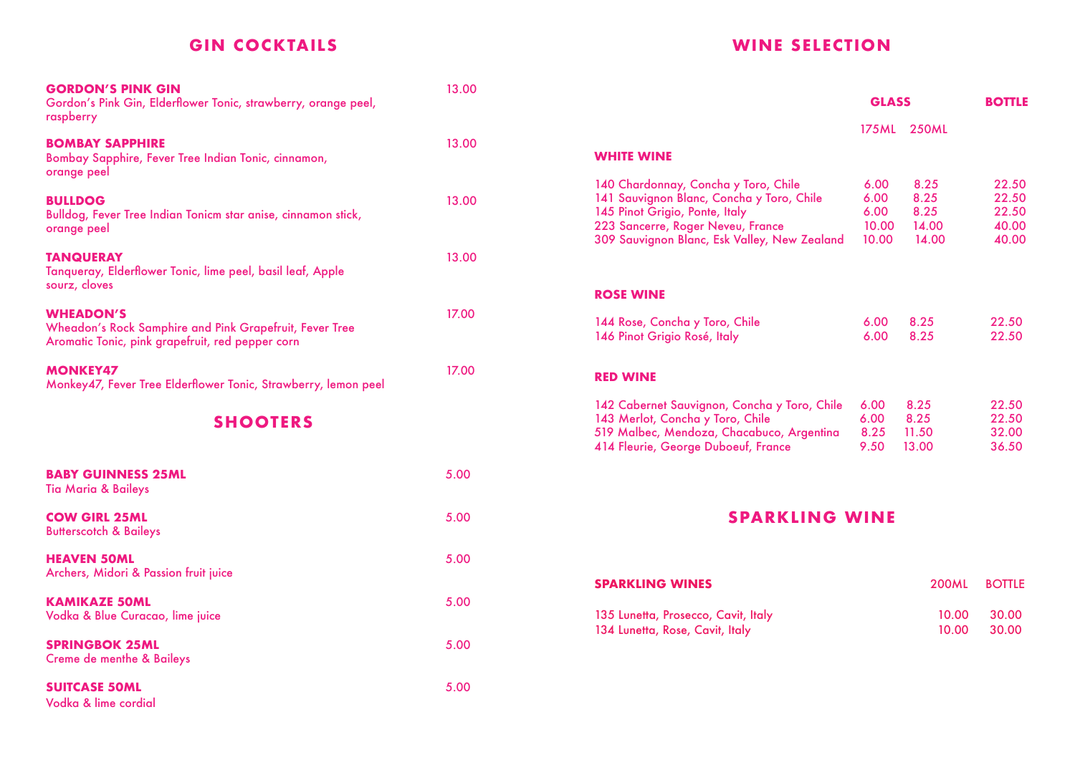# **GIN COCKTAILS**

| <b>GORDON'S PINK GIN</b><br>Gordon's Pink Gin, Elderflower Tonic, strawberry, orange peel,<br>raspberry                         | 13.00 |
|---------------------------------------------------------------------------------------------------------------------------------|-------|
| <b>BOMBAY SAPPHIRE</b><br>Bombay Sapphire, Fever Tree Indian Tonic, cinnamon,<br>orange peel                                    | 13.00 |
| <b>BULLDOG</b><br>Bulldog, Fever Tree Indian Tonicm star anise, cinnamon stick,<br>orange peel                                  | 13.00 |
| <b>TANQUERAY</b><br>Tanqueray, Elderflower Tonic, lime peel, basil leaf, Apple<br>sourz, cloves                                 | 13.00 |
| <b>WHEADON'S</b><br>Wheadon's Rock Samphire and Pink Grapefruit, Fever Tree<br>Aromatic Tonic, pink grapefruit, red pepper corn | 17.00 |
| <b>MONKEY47</b><br>Monkey47, Fever Tree Elderflower Tonic, Strawberry, lemon peel                                               | 17.00 |
| <b>SHOOTERS</b>                                                                                                                 |       |
| <b>BABY GUINNESS 25ML</b><br><b>Tia Maria &amp; Baileys</b>                                                                     | 5.00  |
| <b>COW GIRL 25ML</b><br><b>Butterscotch &amp; Baileys</b>                                                                       | 5.00  |
| <b>HEAVEN 50ML</b><br>Archers, Midori & Passion fruit juice                                                                     | 5.00  |
| <b>KAMIKAZE 50ML</b><br>Vodka & Blue Curacao, lime juice                                                                        | 5.00  |
| <b>SPRINGBOK 25ML</b><br><b>Creme de menthe &amp; Baileys</b>                                                                   | 5.00  |
| <b>SUITCASE 50ML</b><br>Vodka & lime cordial                                                                                    | 5.00  |

# **WINE SELECTION**

|                                                                                                                                                                                                          | <b>GLASS</b>                           |                                        | <b>BOTTLE</b>                             |
|----------------------------------------------------------------------------------------------------------------------------------------------------------------------------------------------------------|----------------------------------------|----------------------------------------|-------------------------------------------|
|                                                                                                                                                                                                          | 175 ML                                 | <b>250ML</b>                           |                                           |
| <b>WHITE WINE</b>                                                                                                                                                                                        |                                        |                                        |                                           |
| 140 Chardonnay, Concha y Toro, Chile<br>141 Sauvignon Blanc, Concha y Toro, Chile<br>145 Pinot Grigio, Ponte, Italy<br>223 Sancerre, Roger Neveu, France<br>309 Sauvignon Blanc, Esk Valley, New Zealand | 6.00<br>6.00<br>6.00<br>10.00<br>10.00 | 8.25<br>8.25<br>8.25<br>14.00<br>14.00 | 22.50<br>22.50<br>22.50<br>40.00<br>40.00 |
| <b>ROSE WINE</b>                                                                                                                                                                                         |                                        |                                        |                                           |
| 144 Rose, Concha y Toro, Chile<br>146 Pinot Grigio Rosé, Italy                                                                                                                                           | 6.00<br>6.00                           | 8.25<br>8.25                           | 22.50<br>22.50                            |
| <b>RED WINE</b>                                                                                                                                                                                          |                                        |                                        |                                           |
| 142 Cabernet Sauvignon, Concha y Toro, Chile<br>143 Merlot, Concha y Toro, Chile<br>519 Malbec, Mendoza, Chacabuco, Argentina<br>414 Fleurie, George Duboeuf, France                                     | 6.00<br>6.00<br>8.25<br>9.50           | 8.25<br>8.25<br>11.50<br>13.00         | 22.50<br>22.50<br>32.00<br>36.50          |
| <b>SPARKLING WINE</b>                                                                                                                                                                                    |                                        |                                        |                                           |
| <b>SPARKLING WINES</b>                                                                                                                                                                                   |                                        | 200ML                                  | <b>BOTTLE</b>                             |
| 135 Lunetta, Prosecco, Cavit, Italy<br>134 Lunetta, Rose, Cavit, Italy                                                                                                                                   |                                        | 10.00<br>10.00                         | 30.00<br>30.00                            |
|                                                                                                                                                                                                          |                                        |                                        |                                           |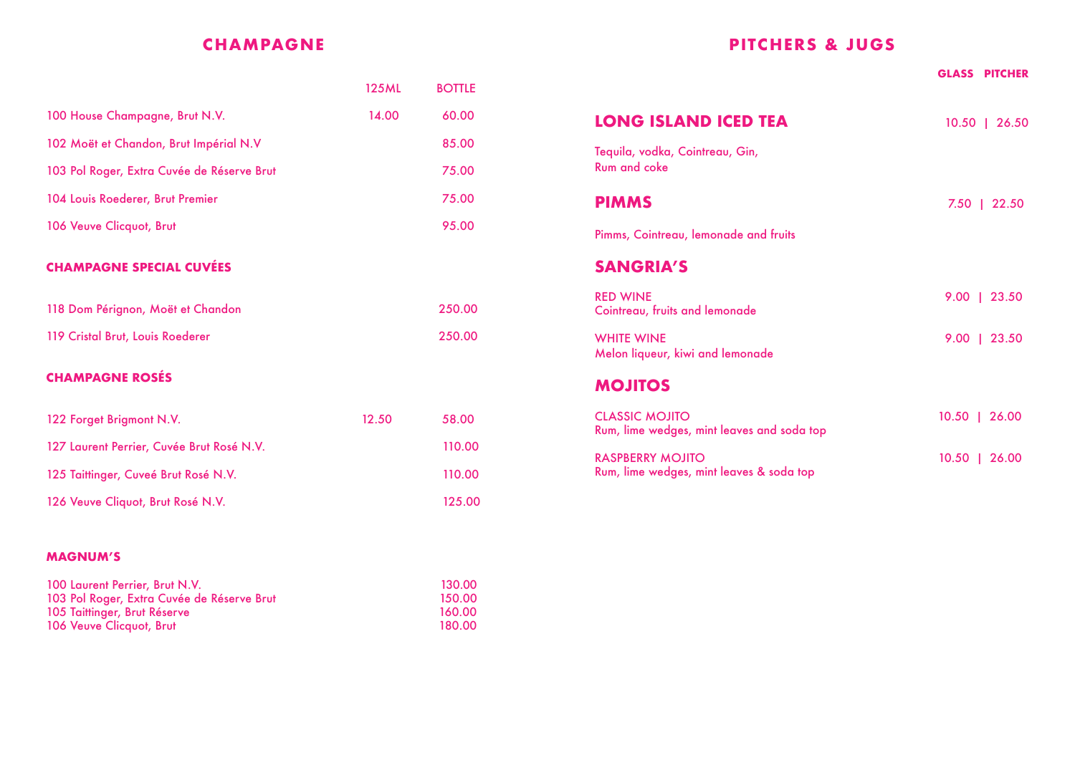# **CHAMPAGNE**

|                                            | <b>125ML</b> | <b>BOTTLE</b> |
|--------------------------------------------|--------------|---------------|
| 100 House Champagne, Brut N.V.             | 14.00        | 60.00         |
| 102 Moët et Chandon, Brut Impérial N.V     |              | 85.00         |
| 103 Pol Roger, Extra Cuvée de Réserve Brut |              | 75.00         |
| 104 Louis Roederer, Brut Premier           |              | 75.00         |
| 106 Veuve Clicquot, Brut                   |              | 95.00         |
| <b>CHAMPAGNE SPECIAL CUVÉES</b>            |              |               |
| 118 Dom Pérignon, Moët et Chandon          |              | 250.00        |
| 119 Cristal Brut, Louis Roederer           |              | 250.00        |
| <b>CHAMPAGNE ROSÉS</b>                     |              |               |
| 122 Forget Brigmont N.V.                   | 12.50        | 58.00         |
| 127 Laurent Perrier, Cuvée Brut Rosé N.V.  |              | 110.00        |
| 125 Taittinger, Cuveé Brut Rosé N.V.       |              | 110.00        |

126 Veuve Cliquot, Brut Rosé N.V. 125.00

#### **MAGNUM'S**

| 100 Laurent Perrier, Brut N.V.             | 130.00 |
|--------------------------------------------|--------|
| 103 Pol Roger, Extra Cuvée de Réserve Brut | 150.00 |
| 105 Taittinger, Brut Réserve               | 160.00 |
| 106 Veuve Clicquot, Brut                   | 180.00 |

# **PITCHERS & JUGS**

|                                                                     | <b>GLASS PITCHER</b> |
|---------------------------------------------------------------------|----------------------|
| <b>LONG ISLAND ICED TEA</b>                                         | $10.50$   26.50      |
| Tequila, vodka, Cointreau, Gin,<br><b>Rum and coke</b>              |                      |
| <b>PIMMS</b>                                                        | 7.50   22.50         |
| Pimms, Cointreau, lemonade and fruits                               |                      |
| <b>SANGRIA'S</b>                                                    |                      |
| <b>RED WINE</b><br>Cointreau, fruits and lemonade                   | 9.00   23.50         |
| <b>WHITE WINE</b><br>Melon liqueur, kiwi and lemonade               | 9.00   23.50         |
| <b>MOJITOS</b>                                                      |                      |
| <b>CLASSIC MOJITO</b><br>Rum, lime wedges, mint leaves and soda top | 10.50   26.00        |
| <b>RASPBERRY MOJITO</b><br>Rum, lime wedges, mint leaves & soda top | $10.50$   26.00      |